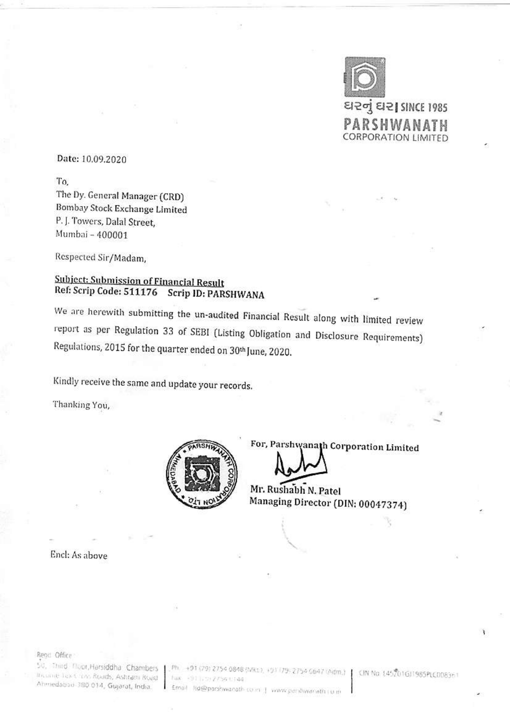

Date: 10.09.2020

To. The Dy. General Manager (CRD) Bombay Stock Exchange Limited P.J. Towers, Dalal Street, Mumbai - 400001

Respected Sir/Madam,

## Subject: Submission of Financial Result Ref: Scrip Code: 511176 Scrip ID: PARSHWANA

We are herewith submitting the un-audited Financial Result along with limited review report as per Regulation 33 of SEBI (Listing Obligation and Disclosure Requirements) Regulations, 2015 for the quarter ended on 30th June, 2020.

Kindly receive the same and update your records.

Thanking You,



For, Parshwanath Corporation Limited

Mr. Rushabh N. Patel Managing Director (DIN: 00047374)

Encl: As above

Read Office

the unit Tex Crins Roads, Ashram Road Ahmedabso 380 014, Gujarat, India.

Sv., Third, Floot,Harsiddha, Chambers, J.,Ph., +91 (29) 2754 0848 (Mk1), +91 (29) 2754 0647 (Adm.) J. CIN No. (45201GJ1985PLC0083n1 hax +911, 0) 2756 t.144 Email: Rd@parshwarath.co.m. J. www.pershwarath.com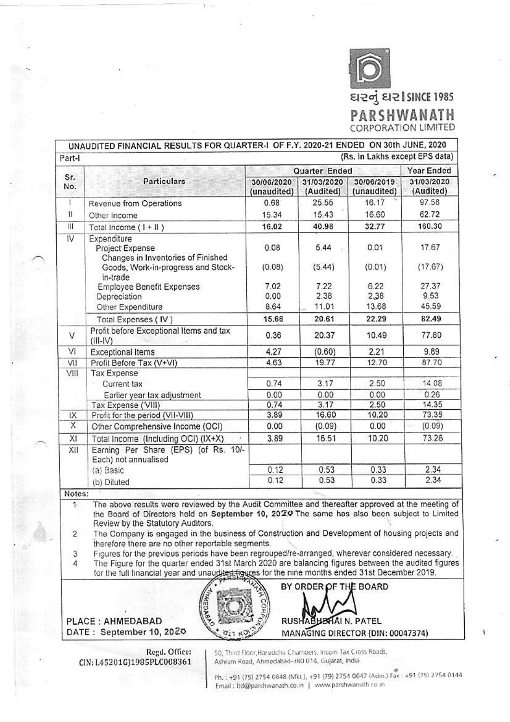

| Sr.<br>No.   | <b>Particulars</b>                                                   | Quarter Ended             |                         |                           | Year Ended              |
|--------------|----------------------------------------------------------------------|---------------------------|-------------------------|---------------------------|-------------------------|
|              |                                                                      | 30/06/2020<br>(unaudited) | 31/03/2020<br>(Audited) | 30/06/2019<br>(unaudited) | 31/03/2020<br>(Audited) |
| F            | Revenue from Operations                                              | 0.68                      | 25.55                   | 16.17                     | 97.58                   |
| $\mathbf{1}$ | Other Income                                                         | 15.34                     | 15.43                   | 16.60                     | 62.72                   |
| Ħ            | Total Income $(1 + 11)$                                              | 16.02                     | 40.98                   | 32.77                     | 160.30                  |
| IV           | Expenditure<br>Project Expense<br>Changes in Inventories of Finished | 0.08                      | 5.44                    | 0.01                      | 17.67                   |
|              | Goods, Work-in-progress and Stock-<br>in-trade                       | (0.08)                    | (5.44)                  | (0.01)                    | (17.67)                 |
|              | Employee Benefit Expenses                                            | 7.02                      | 7.22                    | 6.22                      | 27.37                   |
|              | Depreciation                                                         | 0.00                      | 2.38                    | 2,38                      | 9.53                    |
|              | Other Expenditure                                                    | 8.64                      | 11.01                   | 13.68                     | 45.59                   |
|              | Total Expenses (IV)                                                  | 15.66                     | 20.61                   | 22.29                     | 82.49                   |
| V            | Profit before Exceptional Items and tax<br>$(III-IV)$                | 0.36                      | 20.37                   | 10.49                     | 77.80                   |
| VI           | <b>Exceptional Items</b>                                             | 4.27                      | (0.60)                  | 2.21                      | 9.89                    |
| VII          | Profit Before Tax (V+VI)                                             | 4.63                      | 19.77                   | 12.70                     | 87.70                   |
| VIII         | <b>Tax Expense</b>                                                   |                           |                         |                           |                         |
|              | Current tax                                                          | 0.74                      | 3.17                    | 2.50                      | 14.08                   |
|              | Earlier year tax adjustment                                          | 0.00                      | 0.00                    | 0.00                      | 0.26                    |
|              | Tax Expense ('VIII)                                                  | 0.74                      | 3.17                    | 2.50                      | 14.35                   |
| IX           | Profit for the period (VII-VIII)                                     | 3.89                      | 16.60                   | 10.20                     | 73.35                   |
| X            | Other Comprehensive Income (OCI)                                     | 0.00                      | (0.09)                  | 0.00                      | (0.09)                  |
| XI           | Total Income (Including OCI) (IX+X)                                  | 3.89                      | 16.51                   | 10.20                     | 73.26                   |
| XII          | Earning Per Share (EPS) (of Rs. 10/-<br>Each) not annualised         |                           |                         |                           |                         |
|              | (a) Basic                                                            | 0.12                      | 0.53                    | 0.33                      | 2.34                    |
|              | (b) Diluted                                                          | 0.12                      | 0.53                    | 0.33                      | 2.34                    |

Review by the Statutory Auditors.

The Company is engaged in the business of Construction and Development of housing projects and  $\overline{c}$ therefore there are no other reportable segments.

3 Figures for the previous periods have been regrouped/re-arranged, wherever considered necessary.

The Figure for the quarter ended 31st March 2020 are balancing figures between the audited figures  $\overline{A}$ for the full financial year and unaudited figures for the nine months ended 31st December 2019.

RUSHA



PLACE: AHMEDABAD DATE: September 10, 2020

> 50, Third Floor, Harsiddha Champers, Incom Tax Cross Roads, Regd. Office: Ashram Road, Ahmedabad-380 014, Gujarat, India. CIN: L45201GJ1985PLC008361

> > Ph.: +91 (79) 2754 0848 (Mkt.), +91 (79) 2754 0647 (Adm.) Fax: +91 (79) 2754 0144 Email : ltd@parshwanath.co.in | www.parshwanath.co.in

BY ORDER OF THE BOARD

IAI N. PATEL

MANAGING DIRECTOR (DIN: 00047374)